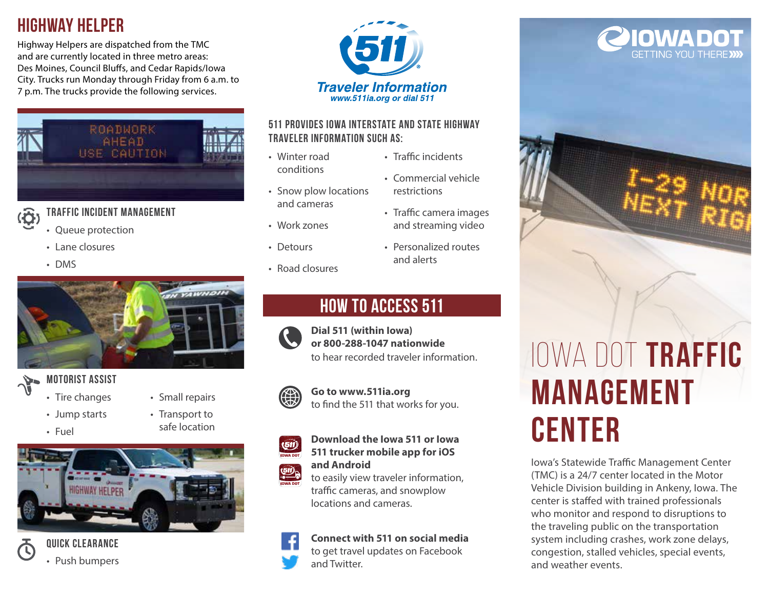# **Highway helper**

Highway Helpers are dispatched from the TMC and are currently located in three metro areas: Des Moines, Council Bluffs, and Cedar Rapids/Iowa City. Trucks run Monday through Friday from 6 a.m. to 7 p.m. The trucks provide the following services.



## **(Ö**

**Traffic Incident Management** 

- Queue protection
	- Lane closures
	- DMS



### **Motorist assist**

- Tire changes
- Jump starts
- Fuel
- Small repairs
	- Transport to safe location





**Quick Clearance**  • Push bumpers



### **511 provides Iowa interstate and state highway traveler information such as:**

• Winter road conditions

• Work zones

• Road closures

• Detours

- Traffic incidents
- Snow plow locations and cameras • Commercial vehicle restrictions
	- Traffic camera images and streaming video
	- Personalized routes and alerts

# **How to access 511**



**Dial 511 (within Iowa) or 800-288-1047 nationwide**  to hear recorded traveler information.

### **Go to www.511ia.org** to find the 511 that works for you.



to easily view traveler information, traffic cameras, and snowplow locations and cameras.

### **Connect with 511 on social media**

to get travel updates on Facebook and Twitter.

# OWA DOT **GETTING YOU THERE**



# Iowa DOT **Traffic Management Center**

Iowa's Statewide Traffic Management Center (TMC) is a 24/7 center located in the Motor Vehicle Division building in Ankeny, Iowa. The center is staffed with trained professionals who monitor and respond to disruptions to the traveling public on the transportation system including crashes, work zone delays, congestion, stalled vehicles, special events, and weather events.